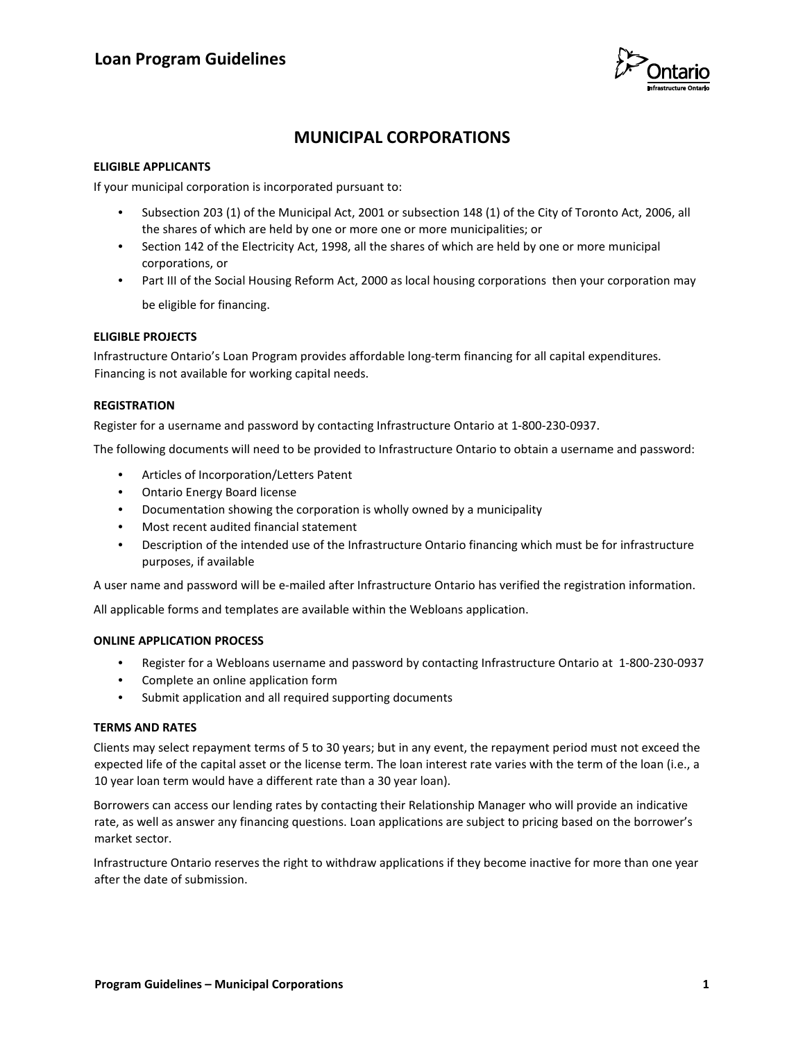

# **MUNICIPAL CORPORATIONS**

### **ELIGIBLE APPLICANTS**

If your municipal corporation is incorporated pursuant to:

- Subsection 203 (1) of the Municipal Act, 2001 or subsection 148 (1) of the City of Toronto Act, 2006, all the shares of which are held by one or more one or more municipalities; or
- Section 142 of the Electricity Act, 1998, all the shares of which are held by one or more municipal corporations, or
- Part III of the Social Housing Reform Act, 2000 as local housing corporations then your corporation may be eligible for financing.

#### **ELIGIBLE PROJECTS**

Infrastructure Ontario's Loan Program provides affordable long-term financing for all capital expenditures. Financing is not available for working capital needs.

## **REGISTRATION**

Register for a username and password by contacting Infrastructure Ontario at 1-800-230-0937.

The following documents will need to be provided to Infrastructure Ontario to obtain a username and password:

- Articles of Incorporation/Letters Patent
- Ontario Energy Board license
- Documentation showing the corporation is wholly owned by a municipality
- Most recent audited financial statement
- Description of the intended use of the Infrastructure Ontario financing which must be for infrastructure purposes, if available

A user name and password will be e-mailed after Infrastructure Ontario has verified the registration information.

All applicable forms and templates are available within the Webloans application.

#### **ONLINE APPLICATION PROCESS**

- Register for a Webloans username and password by contacting Infrastructure Ontario at 1-800-230-0937
- Complete an online application form
- Submit application and all required supporting documents

#### **TERMS AND RATES**

Clients may select repayment terms of 5 to 30 years; but in any event, the repayment period must not exceed the expected life of the capital asset or the license term. The loan interest rate varies with the term of the loan (i.e., a 10 year loan term would have a different rate than a 30 year loan).

Borrowers can access our lending rates by contacting their Relationship Manager who will provide an indicative rate, as well as answer any financing questions. Loan applications are subject to pricing based on the borrower's market sector.

Infrastructure Ontario reserves the right to withdraw applications if they become inactive for more than one year after the date of submission.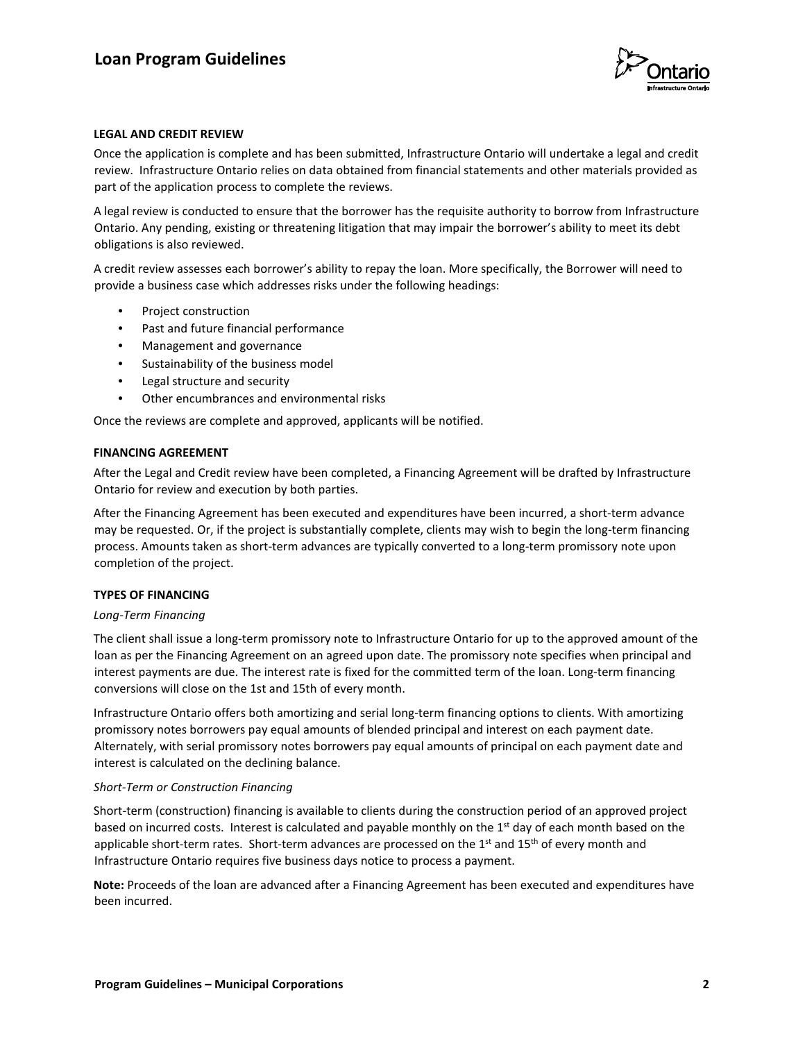

## **LEGAL AND CREDIT REVIEW**

Once the application is complete and has been submitted, Infrastructure Ontario will undertake a legal and credit review. Infrastructure Ontario relies on data obtained from financial statements and other materials provided as part of the application process to complete the reviews.

A legal review is conducted to ensure that the borrower has the requisite authority to borrow from Infrastructure Ontario. Any pending, existing or threatening litigation that may impair the borrower's ability to meet its debt obligations is also reviewed.

A credit review assesses each borrower's ability to repay the loan. More specifically, the Borrower will need to provide a business case which addresses risks under the following headings:

- Project construction
- Past and future financial performance
- Management and governance
- Sustainability of the business model
- Legal structure and security
- Other encumbrances and environmental risks

Once the reviews are complete and approved, applicants will be notified.

#### **FINANCING AGREEMENT**

After the Legal and Credit review have been completed, a Financing Agreement will be drafted by Infrastructure Ontario for review and execution by both parties.

After the Financing Agreement has been executed and expenditures have been incurred, a short-term advance may be requested. Or, if the project is substantially complete, clients may wish to begin the long-term financing process. Amounts taken as short-term advances are typically converted to a long-term promissory note upon completion of the project.

#### **TYPES OF FINANCING**

#### *Long-Term Financing*

The client shall issue a long-term promissory note to Infrastructure Ontario for up to the approved amount of the loan as per the Financing Agreement on an agreed upon date. The promissory note specifies when principal and interest payments are due. The interest rate is fixed for the committed term of the loan. Long-term financing conversions will close on the 1st and 15th of every month.

Infrastructure Ontario offers both amortizing and serial long-term financing options to clients. With amortizing promissory notes borrowers pay equal amounts of blended principal and interest on each payment date. Alternately, with serial promissory notes borrowers pay equal amounts of principal on each payment date and interest is calculated on the declining balance.

#### *Short-Term or Construction Financing*

Short-term (construction) financing is available to clients during the construction period of an approved project based on incurred costs. Interest is calculated and payable monthly on the 1<sup>st</sup> day of each month based on the applicable short-term rates. Short-term advances are processed on the  $1<sup>st</sup>$  and  $15<sup>th</sup>$  of every month and Infrastructure Ontario requires five business days notice to process a payment.

**Note:** Proceeds of the loan are advanced after a Financing Agreement has been executed and expenditures have been incurred.